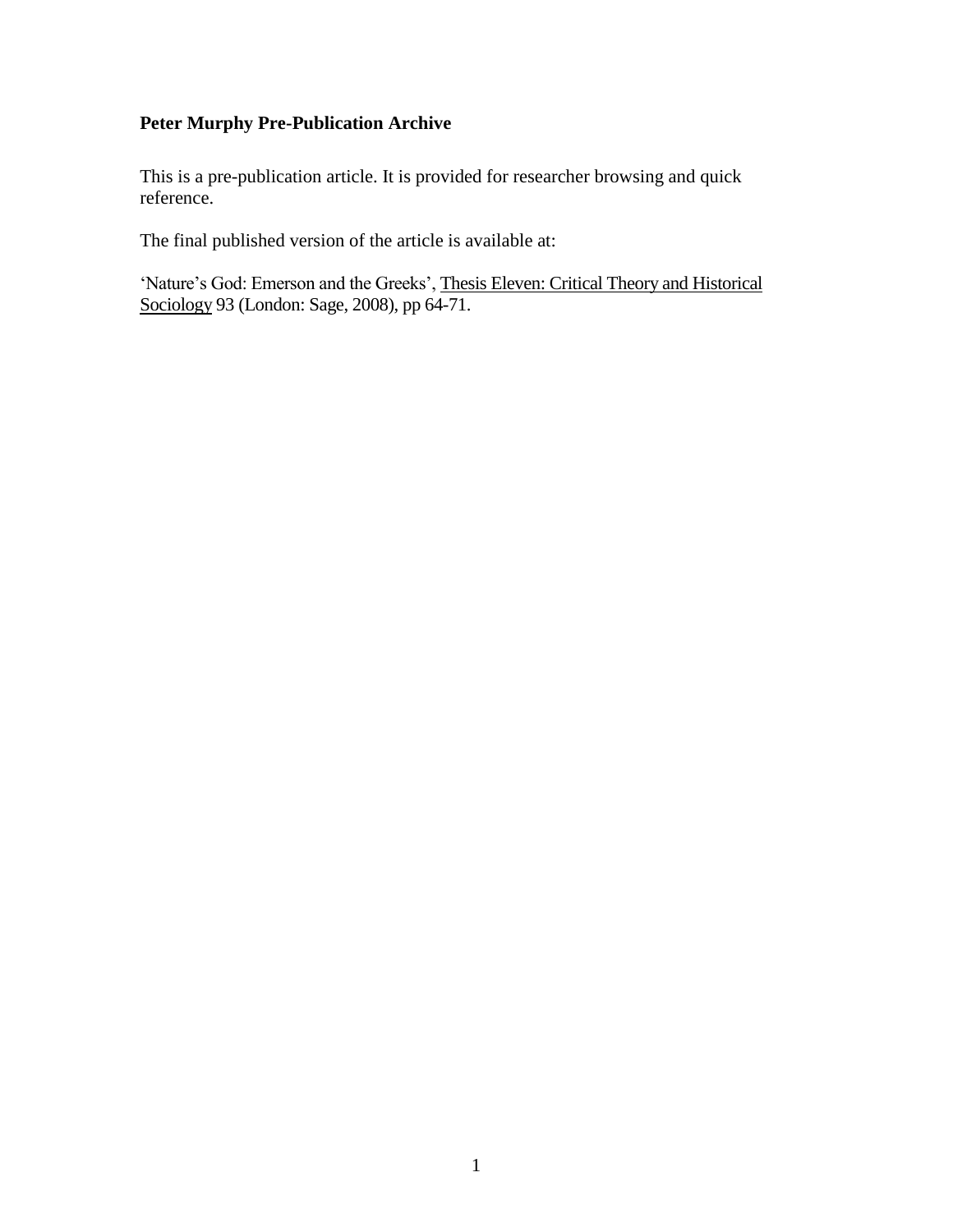## **Peter Murphy Pre-Publication Archive**

This is a pre-publication article. It is provided for researcher browsing and quick reference.

The final published version of the article is available at:

'Nature's God: Emerson and the Greeks', Thesis Eleven: Critical Theory and Historical Sociology 93 (London: Sage, 2008), pp 64-71.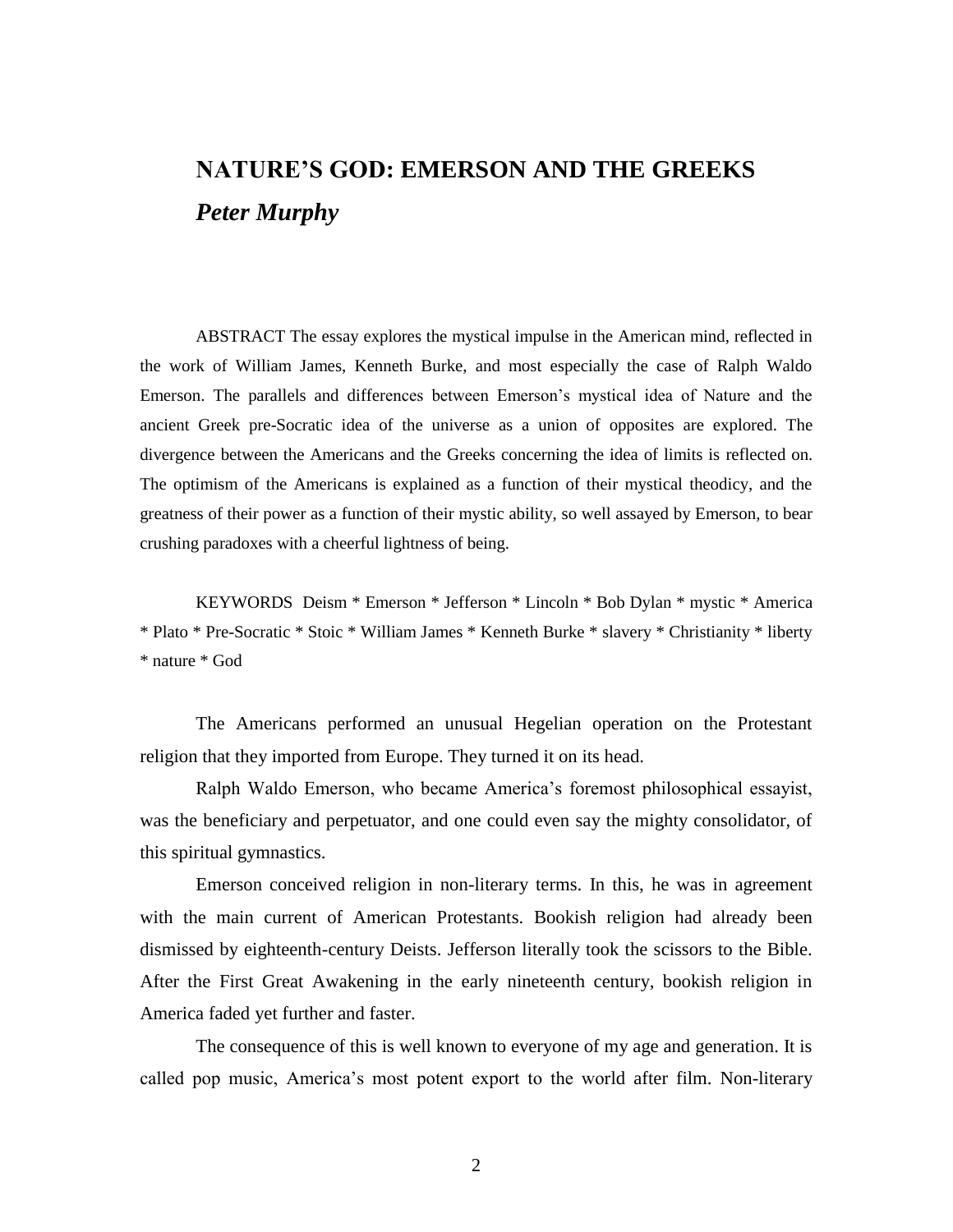## **NATURE'S GOD: EMERSON AND THE GREEKS** *Peter Murphy*

ABSTRACT The essay explores the mystical impulse in the American mind, reflected in the work of William James, Kenneth Burke, and most especially the case of Ralph Waldo Emerson. The parallels and differences between Emerson's mystical idea of Nature and the ancient Greek pre-Socratic idea of the universe as a union of opposites are explored. The divergence between the Americans and the Greeks concerning the idea of limits is reflected on. The optimism of the Americans is explained as a function of their mystical theodicy, and the greatness of their power as a function of their mystic ability, so well assayed by Emerson, to bear crushing paradoxes with a cheerful lightness of being.

KEYWORDS Deism \* Emerson \* Jefferson \* Lincoln \* Bob Dylan \* mystic \* America \* Plato \* Pre-Socratic \* Stoic \* William James \* Kenneth Burke \* slavery \* Christianity \* liberty \* nature \* God

The Americans performed an unusual Hegelian operation on the Protestant religion that they imported from Europe. They turned it on its head.

Ralph Waldo Emerson, who became America's foremost philosophical essayist, was the beneficiary and perpetuator, and one could even say the mighty consolidator, of this spiritual gymnastics.

Emerson conceived religion in non-literary terms. In this, he was in agreement with the main current of American Protestants. Bookish religion had already been dismissed by eighteenth-century Deists. Jefferson literally took the scissors to the Bible. After the First Great Awakening in the early nineteenth century, bookish religion in America faded yet further and faster.

The consequence of this is well known to everyone of my age and generation. It is called pop music, America's most potent export to the world after film. Non-literary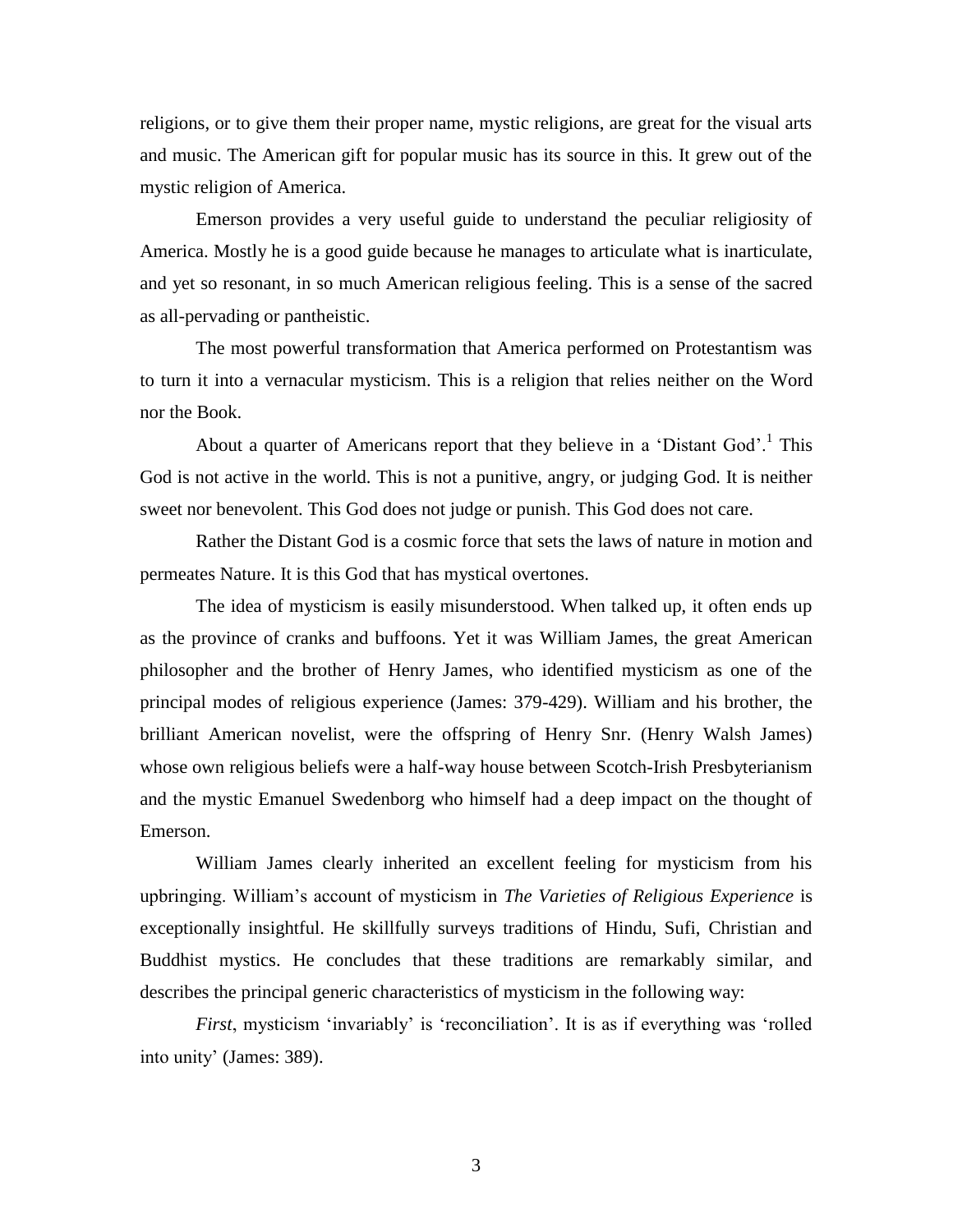religions, or to give them their proper name, mystic religions, are great for the visual arts and music. The American gift for popular music has its source in this. It grew out of the mystic religion of America.

Emerson provides a very useful guide to understand the peculiar religiosity of America. Mostly he is a good guide because he manages to articulate what is inarticulate, and yet so resonant, in so much American religious feeling. This is a sense of the sacred as all-pervading or pantheistic.

The most powerful transformation that America performed on Protestantism was to turn it into a vernacular mysticism. This is a religion that relies neither on the Word nor the Book.

About a quarter of Americans report that they believe in a 'Distant God'.<sup>1</sup> This God is not active in the world. This is not a punitive, angry, or judging God. It is neither sweet nor benevolent. This God does not judge or punish. This God does not care.

Rather the Distant God is a cosmic force that sets the laws of nature in motion and permeates Nature. It is this God that has mystical overtones.

The idea of mysticism is easily misunderstood. When talked up, it often ends up as the province of cranks and buffoons. Yet it was William James, the great American philosopher and the brother of Henry James, who identified mysticism as one of the principal modes of religious experience (James: 379-429). William and his brother, the brilliant American novelist, were the offspring of Henry Snr. (Henry Walsh James) whose own religious beliefs were a half-way house between Scotch-Irish Presbyterianism and the mystic Emanuel Swedenborg who himself had a deep impact on the thought of Emerson.

William James clearly inherited an excellent feeling for mysticism from his upbringing. William's account of mysticism in *The Varieties of Religious Experience* is exceptionally insightful. He skillfully surveys traditions of Hindu, Sufi, Christian and Buddhist mystics. He concludes that these traditions are remarkably similar, and describes the principal generic characteristics of mysticism in the following way:

*First*, mysticism 'invariably' is 'reconciliation'. It is as if everything was 'rolled into unity' (James: 389).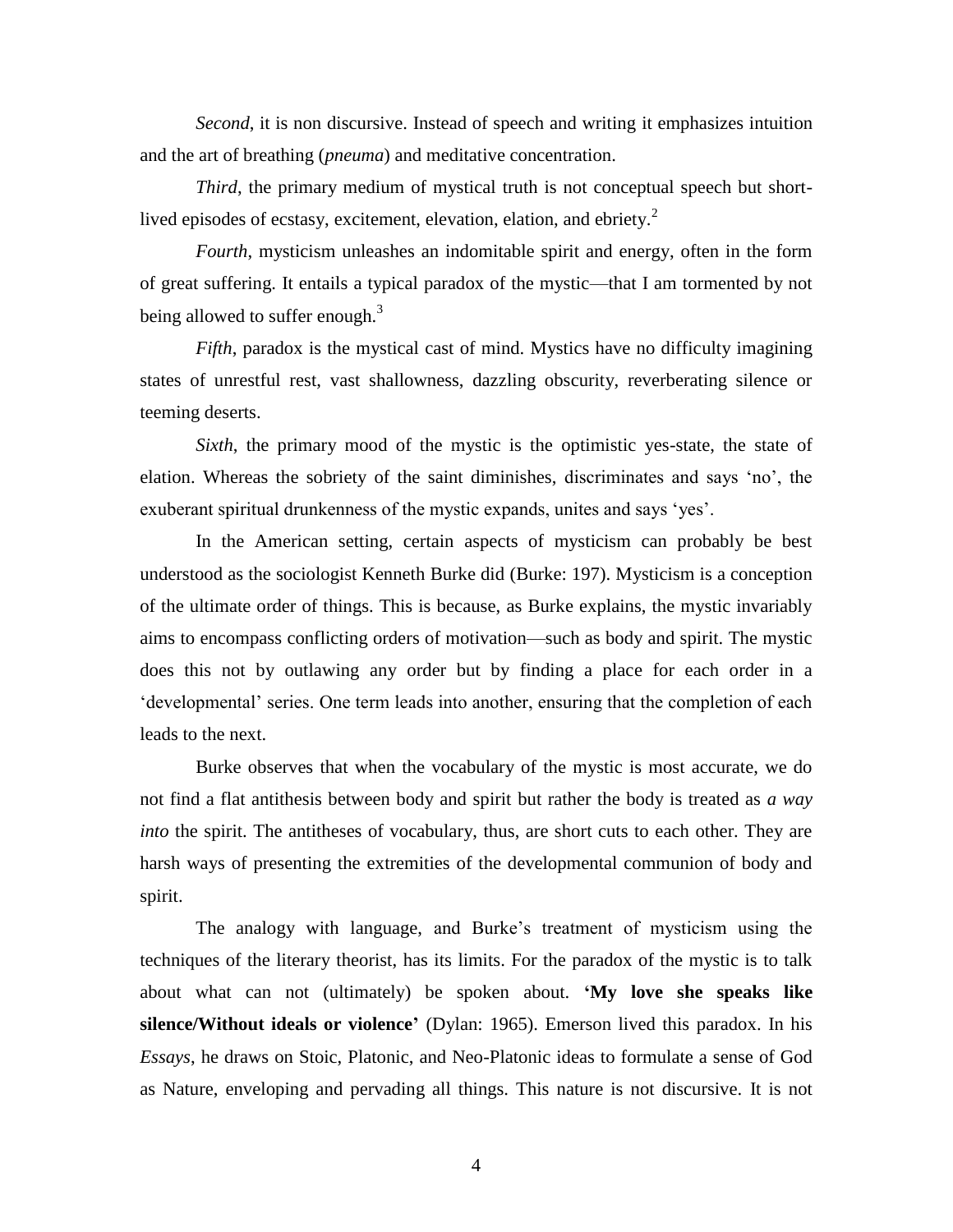*Second*, it is non discursive. Instead of speech and writing it emphasizes intuition and the art of breathing (*pneuma*) and meditative concentration.

*Third*, the primary medium of mystical truth is not conceptual speech but shortlived episodes of ecstasy, excitement, elevation, elation, and ebriety. $2\pi$ 

*Fourth*, mysticism unleashes an indomitable spirit and energy, often in the form of great suffering. It entails a typical paradox of the mystic—that I am tormented by not being allowed to suffer enough. $3$ 

*Fifth*, paradox is the mystical cast of mind. Mystics have no difficulty imagining states of unrestful rest, vast shallowness, dazzling obscurity, reverberating silence or teeming deserts.

*Sixth*, the primary mood of the mystic is the optimistic yes-state, the state of elation. Whereas the sobriety of the saint diminishes, discriminates and says 'no', the exuberant spiritual drunkenness of the mystic expands, unites and says 'yes'.

In the American setting, certain aspects of mysticism can probably be best understood as the sociologist Kenneth Burke did (Burke: 197). Mysticism is a conception of the ultimate order of things. This is because, as Burke explains, the mystic invariably aims to encompass conflicting orders of motivation—such as body and spirit. The mystic does this not by outlawing any order but by finding a place for each order in a 'developmental' series. One term leads into another, ensuring that the completion of each leads to the next.

Burke observes that when the vocabulary of the mystic is most accurate, we do not find a flat antithesis between body and spirit but rather the body is treated as *a way into* the spirit. The antitheses of vocabulary, thus, are short cuts to each other. They are harsh ways of presenting the extremities of the developmental communion of body and spirit.

The analogy with language, and Burke's treatment of mysticism using the techniques of the literary theorist, has its limits. For the paradox of the mystic is to talk about what can not (ultimately) be spoken about. **'My love she speaks like silence/Without ideals or violence'** (Dylan: 1965). Emerson lived this paradox. In his *Essays*, he draws on Stoic, Platonic, and Neo-Platonic ideas to formulate a sense of God as Nature, enveloping and pervading all things. This nature is not discursive. It is not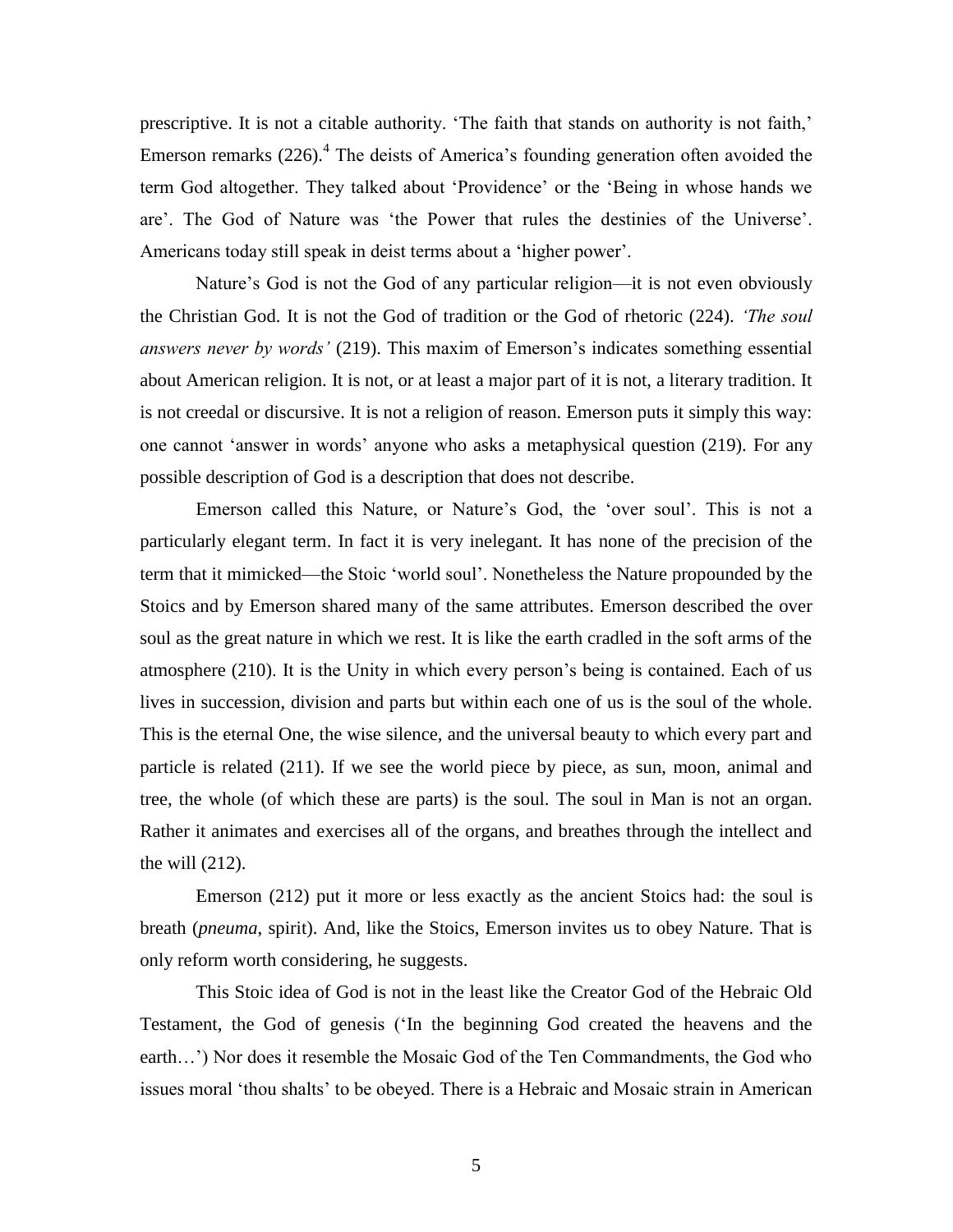prescriptive. It is not a citable authority. 'The faith that stands on authority is not faith,' Emerson remarks  $(226)$ .<sup>4</sup> The deists of America's founding generation often avoided the term God altogether. They talked about 'Providence' or the 'Being in whose hands we are'. The God of Nature was 'the Power that rules the destinies of the Universe'. Americans today still speak in deist terms about a 'higher power'.

Nature's God is not the God of any particular religion—it is not even obviously the Christian God. It is not the God of tradition or the God of rhetoric (224). *'The soul answers never by words'* (219). This maxim of Emerson's indicates something essential about American religion. It is not, or at least a major part of it is not, a literary tradition. It is not creedal or discursive. It is not a religion of reason. Emerson puts it simply this way: one cannot 'answer in words' anyone who asks a metaphysical question (219). For any possible description of God is a description that does not describe.

Emerson called this Nature, or Nature's God, the 'over soul'. This is not a particularly elegant term. In fact it is very inelegant. It has none of the precision of the term that it mimicked—the Stoic 'world soul'. Nonetheless the Nature propounded by the Stoics and by Emerson shared many of the same attributes. Emerson described the over soul as the great nature in which we rest. It is like the earth cradled in the soft arms of the atmosphere (210). It is the Unity in which every person's being is contained. Each of us lives in succession, division and parts but within each one of us is the soul of the whole. This is the eternal One, the wise silence, and the universal beauty to which every part and particle is related (211). If we see the world piece by piece, as sun, moon, animal and tree, the whole (of which these are parts) is the soul. The soul in Man is not an organ. Rather it animates and exercises all of the organs, and breathes through the intellect and the will  $(212)$ .

Emerson (212) put it more or less exactly as the ancient Stoics had: the soul is breath (*pneuma*, spirit). And, like the Stoics, Emerson invites us to obey Nature. That is only reform worth considering, he suggests.

This Stoic idea of God is not in the least like the Creator God of the Hebraic Old Testament, the God of genesis ('In the beginning God created the heavens and the earth...') Nor does it resemble the Mosaic God of the Ten Commandments, the God who issues moral 'thou shalts' to be obeyed. There is a Hebraic and Mosaic strain in American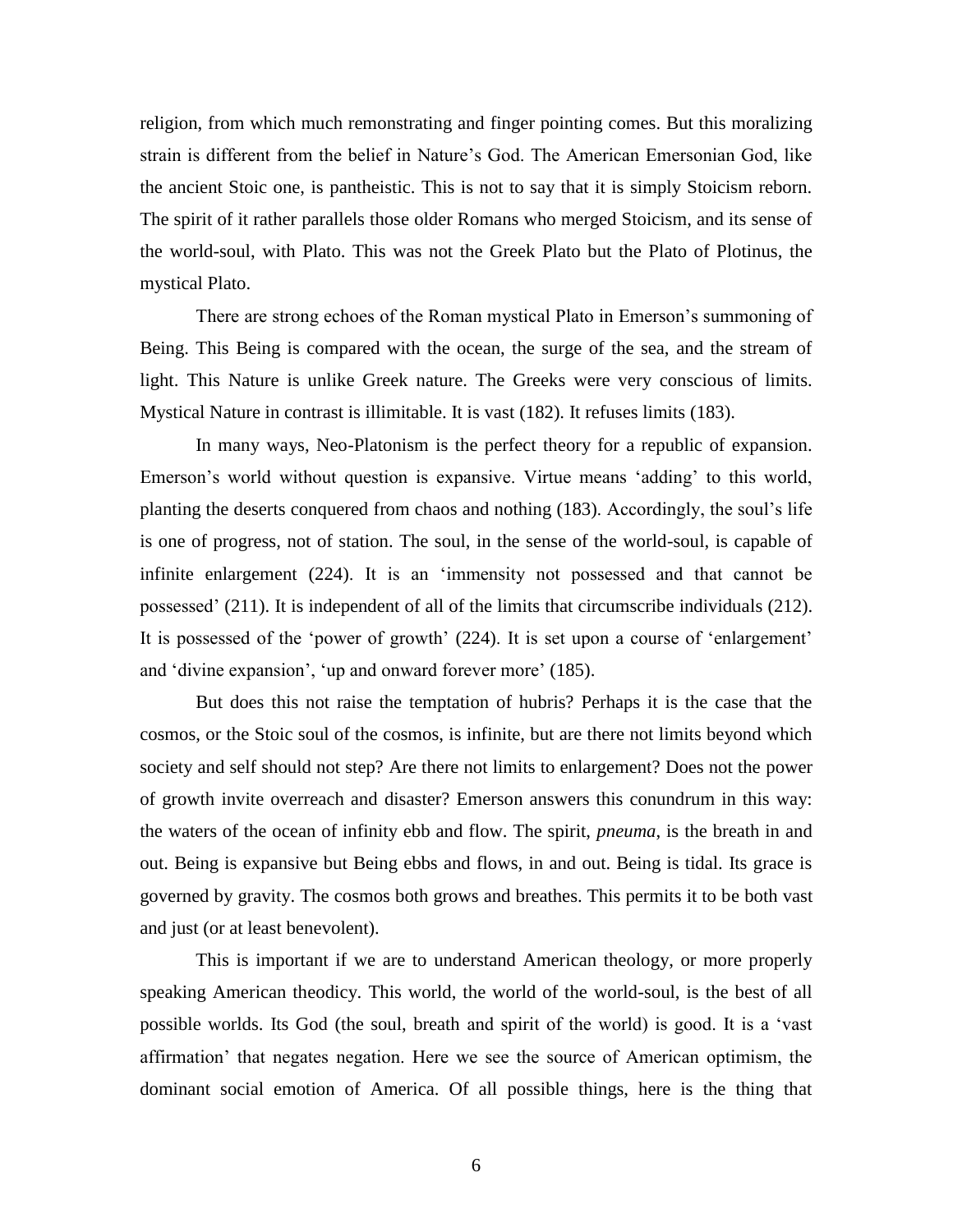religion, from which much remonstrating and finger pointing comes. But this moralizing strain is different from the belief in Nature's God. The American Emersonian God, like the ancient Stoic one, is pantheistic. This is not to say that it is simply Stoicism reborn. The spirit of it rather parallels those older Romans who merged Stoicism, and its sense of the world-soul, with Plato. This was not the Greek Plato but the Plato of Plotinus, the mystical Plato.

There are strong echoes of the Roman mystical Plato in Emerson's summoning of Being. This Being is compared with the ocean, the surge of the sea, and the stream of light. This Nature is unlike Greek nature. The Greeks were very conscious of limits. Mystical Nature in contrast is illimitable. It is vast (182). It refuses limits (183).

In many ways, Neo-Platonism is the perfect theory for a republic of expansion. Emerson's world without question is expansive. Virtue means 'adding' to this world, planting the deserts conquered from chaos and nothing (183). Accordingly, the soul's life is one of progress, not of station. The soul, in the sense of the world-soul, is capable of infinite enlargement (224). It is an 'immensity not possessed and that cannot be possessed' (211). It is independent of all of the limits that circumscribe individuals (212). It is possessed of the 'power of growth' (224). It is set upon a course of 'enlargement' and 'divine expansion', 'up and onward forever more' (185).

But does this not raise the temptation of hubris? Perhaps it is the case that the cosmos, or the Stoic soul of the cosmos, is infinite, but are there not limits beyond which society and self should not step? Are there not limits to enlargement? Does not the power of growth invite overreach and disaster? Emerson answers this conundrum in this way: the waters of the ocean of infinity ebb and flow. The spirit, *pneuma*, is the breath in and out. Being is expansive but Being ebbs and flows, in and out. Being is tidal. Its grace is governed by gravity. The cosmos both grows and breathes. This permits it to be both vast and just (or at least benevolent).

This is important if we are to understand American theology, or more properly speaking American theodicy. This world, the world of the world-soul, is the best of all possible worlds. Its God (the soul, breath and spirit of the world) is good. It is a 'vast affirmation' that negates negation. Here we see the source of American optimism, the dominant social emotion of America. Of all possible things, here is the thing that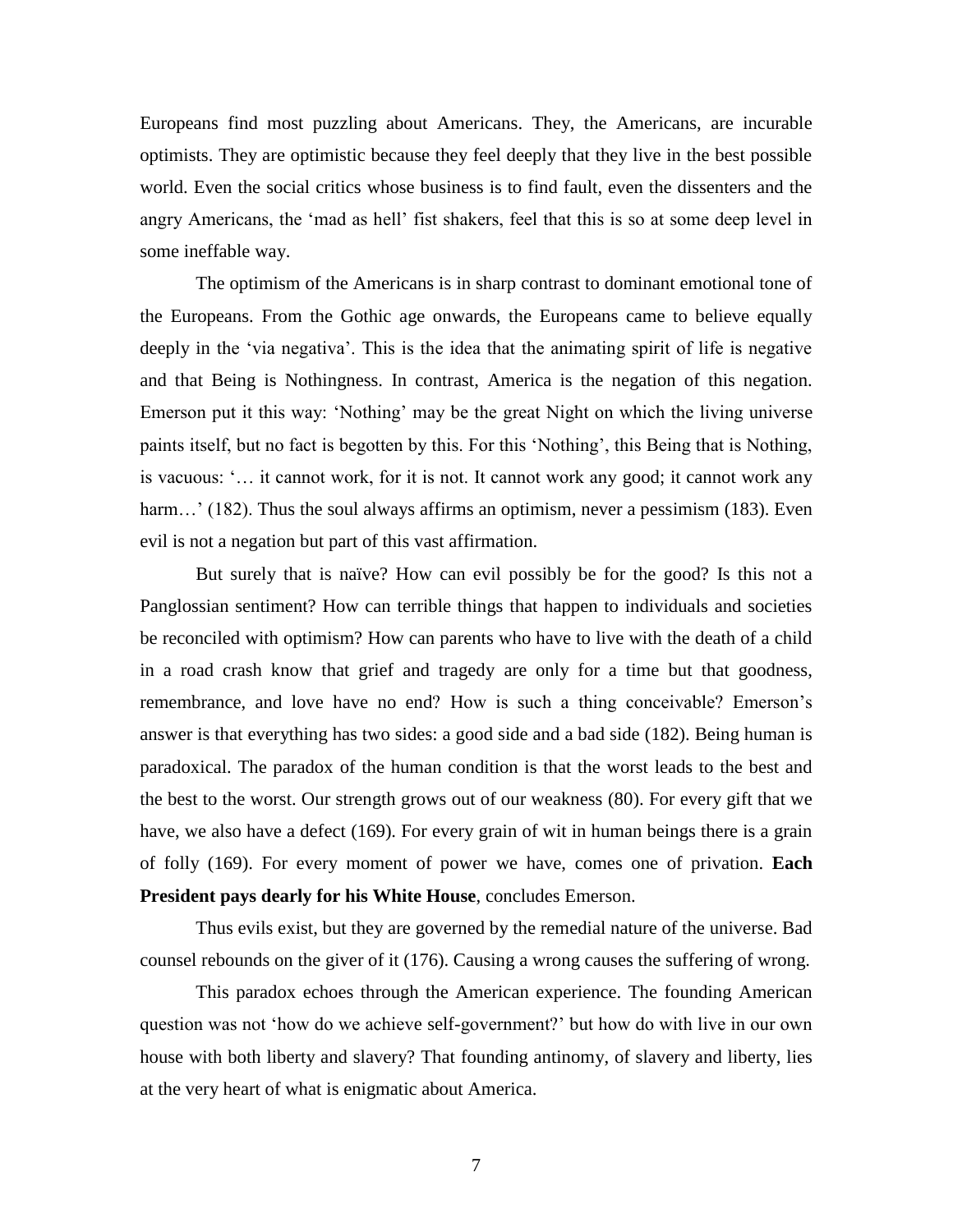Europeans find most puzzling about Americans. They, the Americans, are incurable optimists. They are optimistic because they feel deeply that they live in the best possible world. Even the social critics whose business is to find fault, even the dissenters and the angry Americans, the 'mad as hell' fist shakers, feel that this is so at some deep level in some ineffable way.

The optimism of the Americans is in sharp contrast to dominant emotional tone of the Europeans. From the Gothic age onwards, the Europeans came to believe equally deeply in the 'via negativa'. This is the idea that the animating spirit of life is negative and that Being is Nothingness. In contrast, America is the negation of this negation. Emerson put it this way: 'Nothing' may be the great Night on which the living universe paints itself, but no fact is begotten by this. For this 'Nothing', this Being that is Nothing, is vacuous: '… it cannot work, for it is not. It cannot work any good; it cannot work any harm...' (182). Thus the soul always affirms an optimism, never a pessimism (183). Even evil is not a negation but part of this vast affirmation.

But surely that is naïve? How can evil possibly be for the good? Is this not a Panglossian sentiment? How can terrible things that happen to individuals and societies be reconciled with optimism? How can parents who have to live with the death of a child in a road crash know that grief and tragedy are only for a time but that goodness, remembrance, and love have no end? How is such a thing conceivable? Emerson's answer is that everything has two sides: a good side and a bad side (182). Being human is paradoxical. The paradox of the human condition is that the worst leads to the best and the best to the worst. Our strength grows out of our weakness (80). For every gift that we have, we also have a defect (169). For every grain of wit in human beings there is a grain of folly (169). For every moment of power we have, comes one of privation. **Each President pays dearly for his White House**, concludes Emerson.

Thus evils exist, but they are governed by the remedial nature of the universe. Bad counsel rebounds on the giver of it (176). Causing a wrong causes the suffering of wrong.

This paradox echoes through the American experience. The founding American question was not 'how do we achieve self-government?' but how do with live in our own house with both liberty and slavery? That founding antinomy, of slavery and liberty, lies at the very heart of what is enigmatic about America.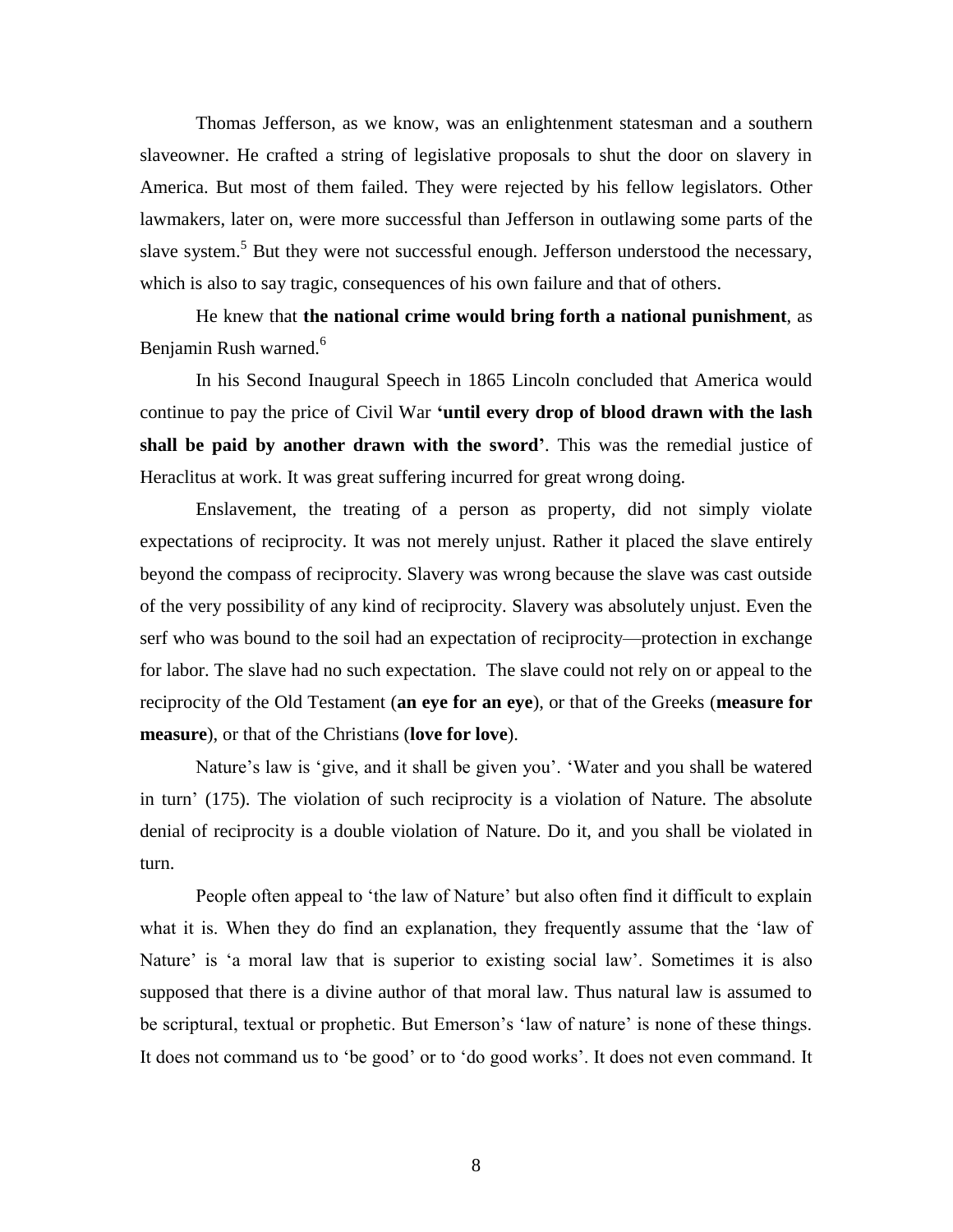Thomas Jefferson, as we know, was an enlightenment statesman and a southern slaveowner. He crafted a string of legislative proposals to shut the door on slavery in America. But most of them failed. They were rejected by his fellow legislators. Other lawmakers, later on, were more successful than Jefferson in outlawing some parts of the slave system.<sup>5</sup> But they were not successful enough. Jefferson understood the necessary, which is also to say tragic, consequences of his own failure and that of others.

He knew that **the national crime would bring forth a national punishment**, as Benjamin Rush warned.<sup>6</sup>

In his Second Inaugural Speech in 1865 Lincoln concluded that America would continue to pay the price of Civil War **'until every drop of blood drawn with the lash shall be paid by another drawn with the sword'**. This was the remedial justice of Heraclitus at work. It was great suffering incurred for great wrong doing.

Enslavement, the treating of a person as property, did not simply violate expectations of reciprocity. It was not merely unjust. Rather it placed the slave entirely beyond the compass of reciprocity. Slavery was wrong because the slave was cast outside of the very possibility of any kind of reciprocity. Slavery was absolutely unjust. Even the serf who was bound to the soil had an expectation of reciprocity—protection in exchange for labor. The slave had no such expectation. The slave could not rely on or appeal to the reciprocity of the Old Testament (**an eye for an eye**), or that of the Greeks (**measure for measure**), or that of the Christians (**love for love**).

Nature's law is 'give, and it shall be given you'. 'Water and you shall be watered in turn' (175). The violation of such reciprocity is a violation of Nature. The absolute denial of reciprocity is a double violation of Nature. Do it, and you shall be violated in turn.

People often appeal to 'the law of Nature' but also often find it difficult to explain what it is. When they do find an explanation, they frequently assume that the 'law of Nature' is 'a moral law that is superior to existing social law'. Sometimes it is also supposed that there is a divine author of that moral law. Thus natural law is assumed to be scriptural, textual or prophetic. But Emerson's 'law of nature' is none of these things. It does not command us to 'be good' or to 'do good works'. It does not even command. It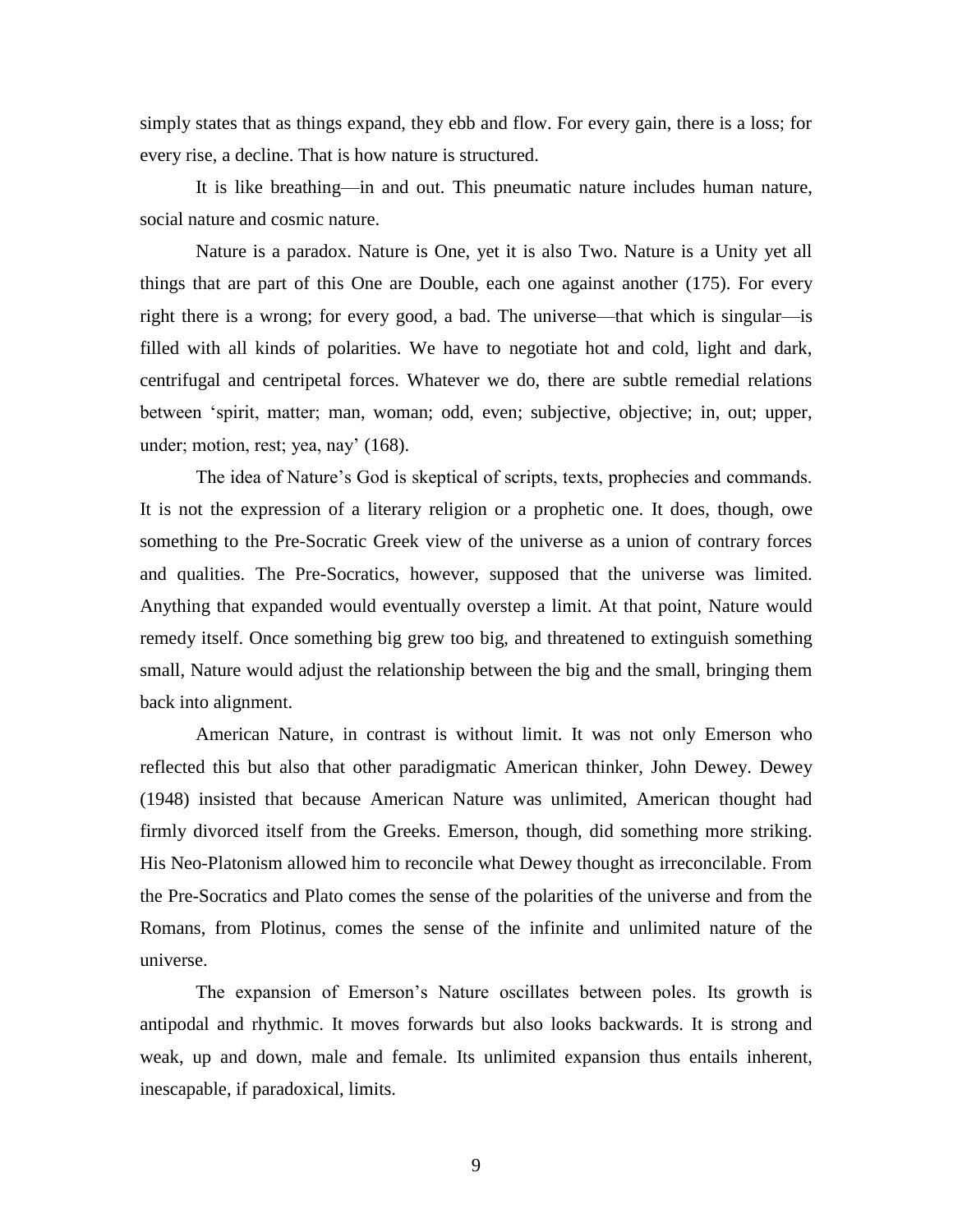simply states that as things expand, they ebb and flow. For every gain, there is a loss; for every rise, a decline. That is how nature is structured.

It is like breathing—in and out. This pneumatic nature includes human nature, social nature and cosmic nature.

Nature is a paradox. Nature is One, yet it is also Two. Nature is a Unity yet all things that are part of this One are Double, each one against another (175). For every right there is a wrong; for every good, a bad. The universe—that which is singular—is filled with all kinds of polarities. We have to negotiate hot and cold, light and dark, centrifugal and centripetal forces. Whatever we do, there are subtle remedial relations between 'spirit, matter; man, woman; odd, even; subjective, objective; in, out; upper, under; motion, rest; yea, nay' (168).

The idea of Nature's God is skeptical of scripts, texts, prophecies and commands. It is not the expression of a literary religion or a prophetic one. It does, though, owe something to the Pre-Socratic Greek view of the universe as a union of contrary forces and qualities. The Pre-Socratics, however, supposed that the universe was limited. Anything that expanded would eventually overstep a limit. At that point, Nature would remedy itself. Once something big grew too big, and threatened to extinguish something small, Nature would adjust the relationship between the big and the small, bringing them back into alignment.

American Nature, in contrast is without limit. It was not only Emerson who reflected this but also that other paradigmatic American thinker, John Dewey. Dewey (1948) insisted that because American Nature was unlimited, American thought had firmly divorced itself from the Greeks. Emerson, though, did something more striking. His Neo-Platonism allowed him to reconcile what Dewey thought as irreconcilable. From the Pre-Socratics and Plato comes the sense of the polarities of the universe and from the Romans, from Plotinus, comes the sense of the infinite and unlimited nature of the universe.

The expansion of Emerson's Nature oscillates between poles. Its growth is antipodal and rhythmic. It moves forwards but also looks backwards. It is strong and weak, up and down, male and female. Its unlimited expansion thus entails inherent, inescapable, if paradoxical, limits.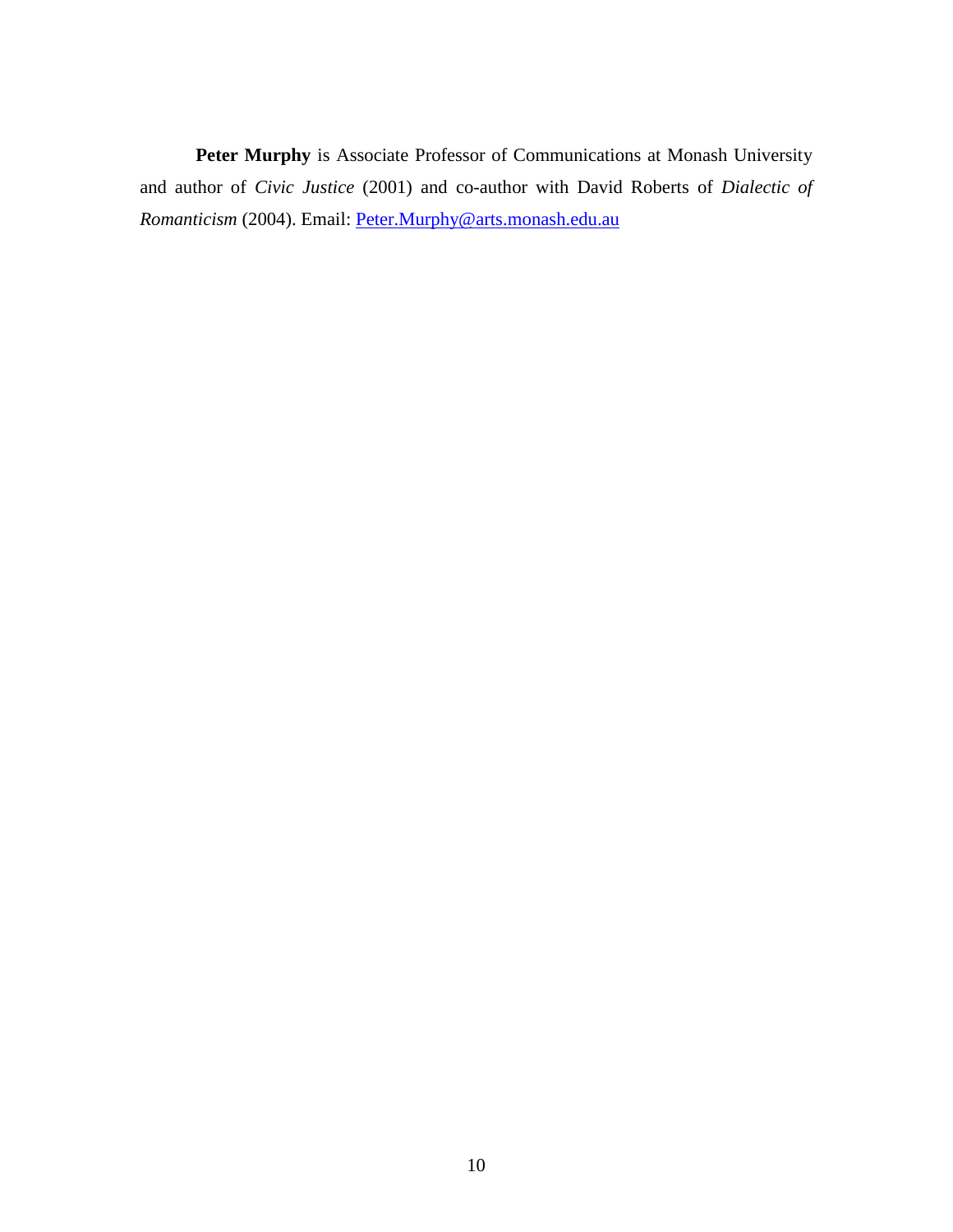**Peter Murphy** is Associate Professor of Communications at Monash University and author of *Civic Justice* (2001) and co-author with David Roberts of *Dialectic of Romanticism* (2004). Email: **Peter.Murphy@arts.monash.edu.au**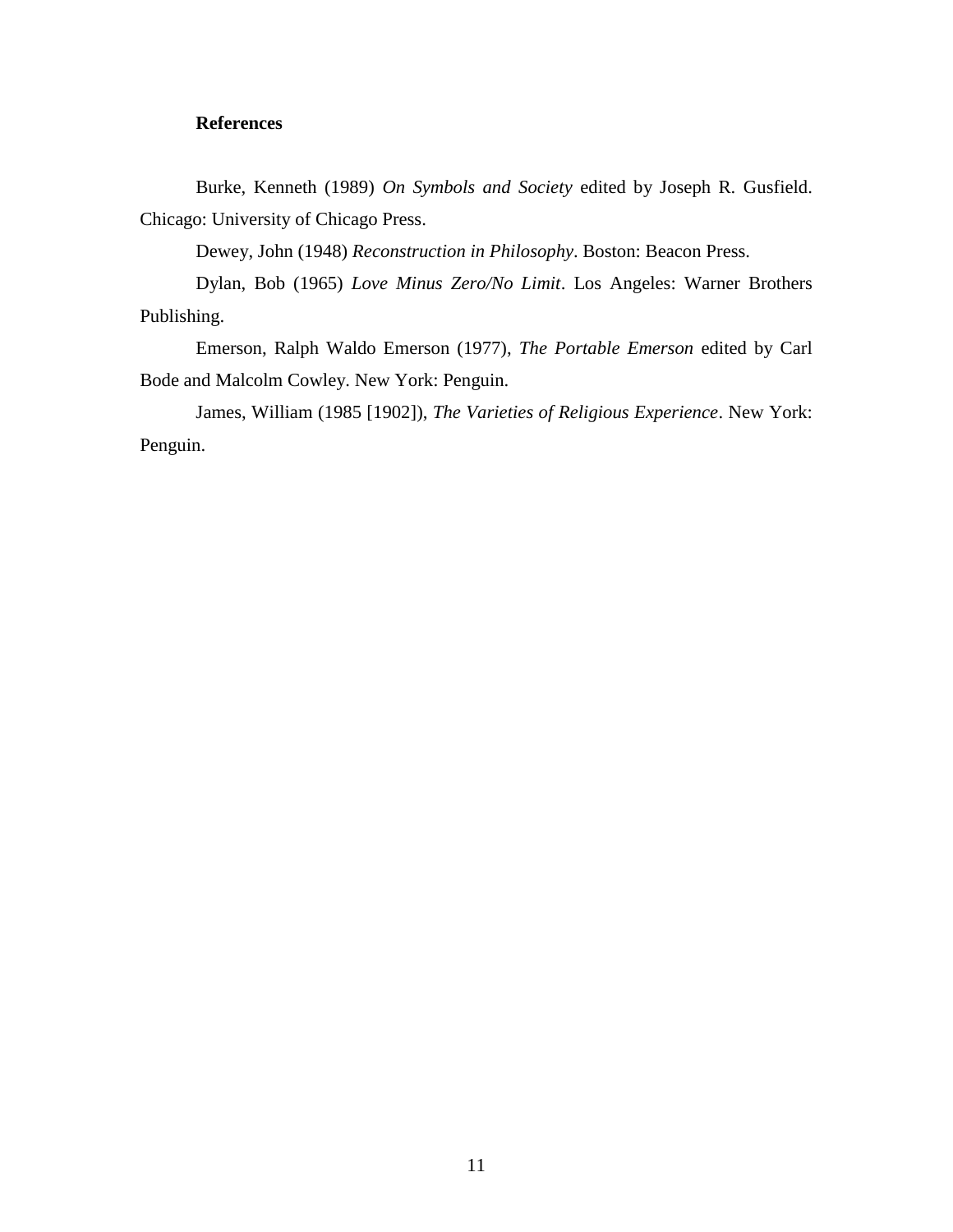## **References**

Burke, Kenneth (1989) *On Symbols and Society* edited by Joseph R. Gusfield. Chicago: University of Chicago Press.

Dewey, John (1948) *Reconstruction in Philosophy*. Boston: Beacon Press.

Dylan, Bob (1965) *Love Minus Zero/No Limit*. Los Angeles: Warner Brothers Publishing.

Emerson, Ralph Waldo Emerson (1977), *The Portable Emerson* edited by Carl Bode and Malcolm Cowley. New York: Penguin.

James, William (1985 [1902]), *The Varieties of Religious Experience*. New York: Penguin.